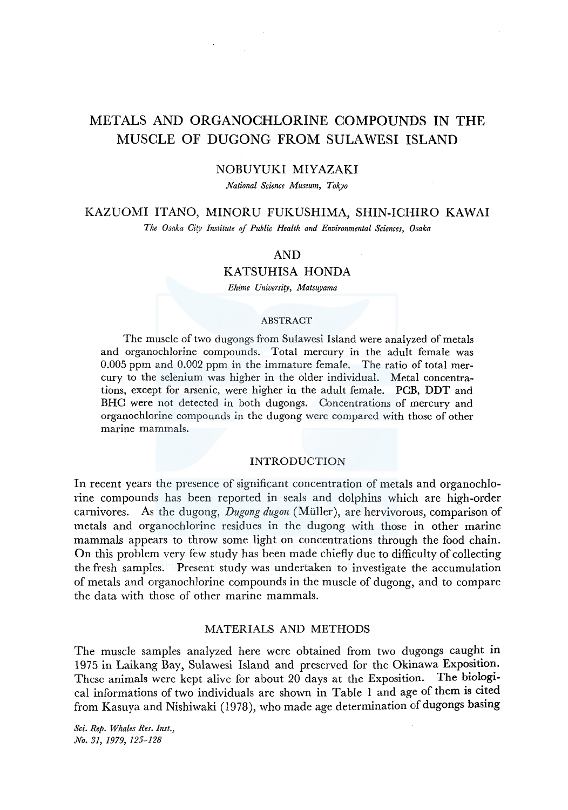# METALS AND ORGANOCHLORINE COMPOUNDS IN THE MUSCLE OF DUGONG FROM SULAWESI ISLAND

#### NOBUYUKI MIYAZAKI

*National Science Museum, Tokyo* 

# KAZUOMI ITANO, MINORU FUKUSHIMA, SHIN-ICHIRO KAWAI

*The Osaka Ciry Institute of Public Health and Environmental Sciences, Osaka* 

## AND

### KATSUHISA HONDA

*Ehime Universiry, Matsuyama* 

#### **ABSTRACT**

The muscle of two dugongs from Sulawesi Island were analyzed of metals and organochlorine compounds. Total mercury in the adult female was 0.005 ppm and 0.002 ppm in the immature female. The ratio of total mercury to the selenium was higher in the older individual. Metal concentrations, except for arsenic, were higher in the adult female. PCB, DDT and BHC were not detected in both dugongs. Concentrations of mercury and organochlorine compounds in the dugong were compared with those of other marine mammals.

#### INTRODUCTION

In recent years the presence of significant concentration of metals and organochlorine compounds has been reported in seals and dolphins which are high-order carnivores. As the dugong, *Dugong dugon* (Muller), are hervivorous, comparison of metals and organochlorine residues in the dugong with those in other marine mammals appears to throw some light on concentrations through the food chain. On this problem very few study has been made chiefly due to difficulty of collecting the fresh samples. Present study was undertaken to investigate the accumulation of metals and organochlorine compounds in the muscle of dugong, and to compare the data with those of other marine mammals.

#### MATERIALS AND METHODS

The muscle samples analyzed here were obtained from two dugongs caught in 1975 in Laikang Bay, Sulawesi Island and preserved for the Okinawa Exposition. These animals were kept alive for about 20 days at the Exposition. The biological informations of two individuals are shown in Table 1 and age of them is cited from Kasuya and Nishiwaki (1978), who made age determination of dugongs basing

*Sci. Rep. Whales Res. Inst., No. 31, 1979, 125-128*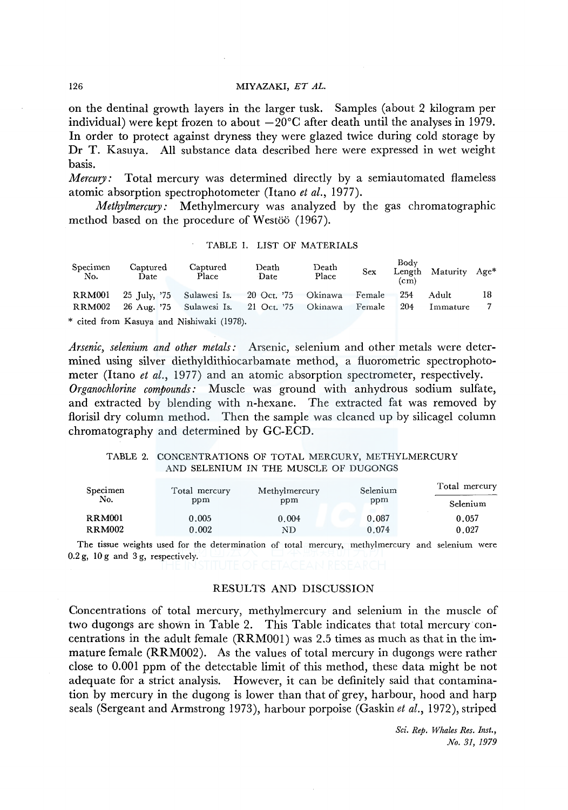#### 126 MIYAZAKI, ET AL.

on the dentinal growth layers in the larger tusk. Samples (about 2 kilogram per individual) were kept frozen to about  $-20^{\circ}$ C after death until the analyses in 1979. In order to protect against dryness they were glazed twice during cold storage by Dr T. Kasuya. All substance data described here were expressed in wet weight basis.

*Mercury:* Total mercury was determined directly by a semiautomated flameless atomic absorption spectrophotometer (Itano *et al.,* 1977).

*Methylmercury:* Methylmercury was analyzed by the gas chromatographic method based on the procedure of Westöö (1967).

| Specimen<br>No. | Captured<br>Date | Death<br>Captured<br>Place<br>Date            |  | Death<br><b>Sex</b><br>Place |  | Body<br>Length Maturity Age*<br>(c <sub>m</sub> ) |     |          |    |
|-----------------|------------------|-----------------------------------------------|--|------------------------------|--|---------------------------------------------------|-----|----------|----|
| RRM001          |                  | 25 July, '75 Sulawesi Is. 20 Oct. '75 Okinawa |  |                              |  | Female                                            | 254 | Adult    | 18 |
| RRM002          |                  | 26 Aug. '75 Sulawesi Is. 21 Oct. '75 Okinawa  |  |                              |  | Female                                            | 204 | Immature |    |
|                 |                  | * cited from Kasuya and Nishiwaki (1978).     |  |                              |  |                                                   |     |          |    |

TABLE 1. LIST OF MATERIALS

*Arsenic, selenium and other metals:* Arsenic, selenium and other metals were determined using silver diethyldithiocarbamate method, a fluorometric spectrophotometer (Itano *et al.*, 1977) and an atomic absorption spectrometer, respectively. *Organochlorine compounds:* Muscle was ground with anhydrous sodium sulfate, and extracted by blending with n-hexane. The extracted fat was removed by florisil dry column method. Then the sample was cleaned up by silicagel column chromatography and determined by GC-ECD.

#### TABLE 2. CONCENTRATIONS OF TOTAL MERCURY, METHYLMERCURY AND SELENIUM IN THE MUSCLE OF DUGONGS

| Specimen      | Total mercury | Methylmercury | Selenium | Total mercury |  |
|---------------|---------------|---------------|----------|---------------|--|
| No.           | ppm           | ppm           | ppm      | Selenium      |  |
| <b>RRM001</b> | 0.005         | 0.004         | 0.087    | 0.057         |  |
| <b>RRM002</b> | 0.002         | ND            | 0.074    | 0.027         |  |

The tissue weights used for the determination of total mercury, methylmercury and selenium were 0.2 g, 10 g and 3 g, respectively.

RESULTS AND DISCUSSION

Concentrations of total mercury, methylmercury and selenium in the muscle of two dugongs are shown in Table 2. This Table indicates that total mercury concentrations in the adult female (RRMOOl) was 2.5 times as much as that in the immature female (RRM002). As the values of total mercury in dugongs were rather close to 0.001 ppm of the detectable limit of this method, these data might be not adequate for a strict analysis. However, it can be definitely said that contamination by mercury in the dugong is lower than that of grey, harbour, hood and harp seals (Sergeant and Armstrong 1973), harbour porpoise (Gaskin *et al.,* 1972), striped

> *Sci. Rep. Whales Res. Inst., No. 31, 1979*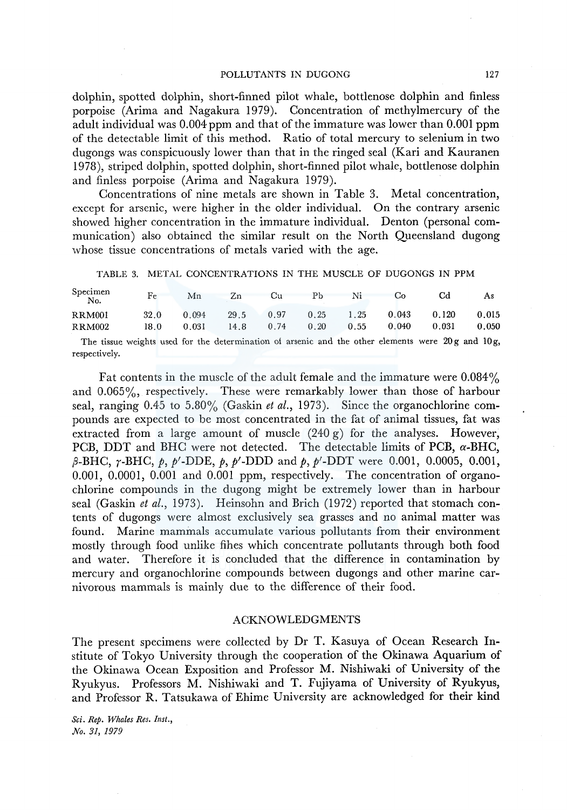dolphin, spotted dolphin, short-finned pilot whale, bottlenose dolphin and finless porpoise (Arima and Nagakura 1979). Concentration of methylmercury of the adult individual was  $0.004$  ppm and that of the immature was lower than  $0.001$  ppm of the detectable limit of this method. Ratio of total mercury to selenium in two dugongs was conspicuously lower than that in the ringed seal (Kari and Kauranen 1978), striped dolphin, spotted dolphin, short-finned pilot whale, bottlenose dolphin and finless porpoise (Arima and Nagakura 1979).

Concentrations of nine metals are shown in Table 3. Metal concentration, except for arsenic, were higher in the older individual. On the contrary arsenic showed higher concentration in the immature individual. Denton (personal communication) also obtained the similar result on the North Queensland dugong whose tissue concentrations of metals varied with the age.

TABLE 3. METAL CONCENTRATIONS IN THE MUSCLE OF DUGONGS IN PPM

| Specimen<br>No.                                                                                        | Fe          | Mn    | Zn   | Cu   | Рb   | Ni   | Co    | Cd    | As    |
|--------------------------------------------------------------------------------------------------------|-------------|-------|------|------|------|------|-------|-------|-------|
| <b>RRM001</b>                                                                                          | <b>32.0</b> | 0.094 | 29.5 | 0.97 | 0.25 | 1.25 | 0.043 | 0.120 | 0.015 |
| <b>RRM002</b>                                                                                          | 18.0        | 0.031 | 14.8 | 0.74 | 0.20 | 0.55 | 0.040 | 0.031 | 0.050 |
| The tissue weights used for the determination of arsenic and the other elements were $20g$ and $10g$ , |             |       |      |      |      |      |       |       |       |
| respectively.                                                                                          |             |       |      |      |      |      |       |       |       |

Fat contents in the muscle of the adult female and the immature were 0.084% and 0.065%, respectively. These were remarkably lower than those of harbour seal, ranging 0.45 to 5.80% (Gaskin *et al.,* 1973). Since the organochlorine compounds are expected to be most concentrated in the fat of animal tissues, fat was extracted from a large amount of muscle  $(240 \text{ g})$  for the analyses. However, PCB, DDT and BHC were not detected. The detectable limits of PCB, *a-BHC,*  ,8-BHC, r-BHC, p, *P'-DDE,* p, *P'-DDD* and p, *P'-DDT* were 0.001, 0.0005, 0.001, 0.001, 0.0001, 0.001 and 0.001 ppm, respectively. The concentration of organochlorine compounds in the dugong might be extremely lower than in harbour seal (Gaskin *et al.,* 1973). Heinsohn and Brich (1972) reported that stomach contents of dugongs were almost exclusively sea grasses and no animal matter was found. Marine mammals accumulate various pollutants from their environment mostly through food unlike fihes which concentrate pollutants through both food and water. Therefore it is concluded that the difference in contamination by mercury and organochlorine compounds between dugongs and other marine carnivorous mammals is mainly due to the difference of their food.

#### ACKNOWLEDGMENTS

The present specimens were collected by Dr T. Kasuya of Ocean Research Institute of Tokyo University through the cooperation of the Okinawa Aquarium of the Okinawa Ocean Exposition and Professor M. Nishiwaki of University of the Ryukyus. Professors M. Nishiwaki and T. Fujiyama of University of Ryukyus, and Professor R. Tatsukawa of Ehime University are acknowledged for their kind

*Sci. Rep. Whales Res. Inst., No. 31, 1979*